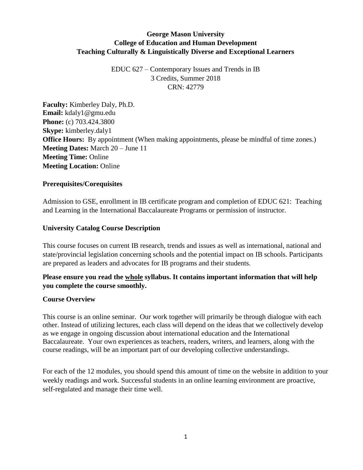# **George Mason University College of Education and Human Development Teaching Culturally & Linguistically Diverse and Exceptional Learners**

EDUC 627 – Contemporary Issues and Trends in IB 3 Credits, Summer 2018 CRN: 42779

**Faculty:** Kimberley Daly, Ph.D. **Email:** kdaly1@gmu.edu **Phone:** (c) 703.424.3800 **Skype:** kimberley.daly1 **Office Hours:** By appointment (When making appointments, please be mindful of time zones.) **Meeting Dates:** March 20 – June 11 **Meeting Time:** Online **Meeting Location:** Online

### **Prerequisites/Corequisites**

Admission to GSE, enrollment in IB certificate program and completion of EDUC 621: Teaching and Learning in the International Baccalaureate Programs or permission of instructor.

#### **University Catalog Course Description**

This course focuses on current IB research, trends and issues as well as international, national and state/provincial legislation concerning schools and the potential impact on IB schools. Participants are prepared as leaders and advocates for IB programs and their students.

## **Please ensure you read the whole syllabus. It contains important information that will help you complete the course smoothly.**

#### **Course Overview**

This course is an online seminar. Our work together will primarily be through dialogue with each other. Instead of utilizing lectures, each class will depend on the ideas that we collectively develop as we engage in ongoing discussion about international education and the International Baccalaureate. Your own experiences as teachers, readers, writers, and learners, along with the course readings, will be an important part of our developing collective understandings.

For each of the 12 modules, you should spend this amount of time on the website in addition to your weekly readings and work. Successful students in an online learning environment are proactive, self-regulated and manage their time well.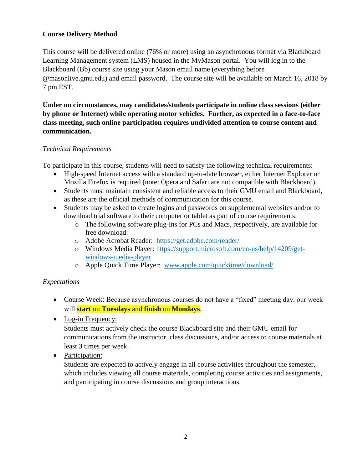# **Course Delivery Method**

This course will be delivered online (76% or more) using an asynchronous format via Blackboard Learning Management system (LMS) housed in the MyMason portal. You will log in to the Blackboard (Bb) course site using your Mason email name (everything before @masonlive.gmu.edu) and email password. The course site will be available on March 16, 2018 by 7 pm EST.

**Under no circumstances, may candidates/students participate in online class sessions (either by phone or Internet) while operating motor vehicles. Further, as expected in a face-to-face class meeting, such online participation requires undivided attention to course content and communication.**

## *Technical Requirements*

To participate in this course, students will need to satisfy the following technical requirements:

- High-speed Internet access with a standard up-to-date browser, either Internet Explorer or Mozilla Firefox is required (note: Opera and Safari are not compatible with Blackboard).
- Students must maintain consistent and reliable access to their GMU email and Blackboard, as these are the official methods of communication for this course.
- Students may be asked to create logins and passwords on supplemental websites and/or to download trial software to their computer or tablet as part of course requirements.
	- o The following software plug-ins for PCs and Macs, respectively, are available for free download:
	- o Adobe Acrobat Reader: <https://get.adobe.com/reader/>
	- o Windows Media Player: [https://support.microsoft.com/en-us/help/14209/get](https://support.microsoft.com/en-us/help/14209/get-windows-media-player)[windows-media-player](https://support.microsoft.com/en-us/help/14209/get-windows-media-player)
	- o Apple Quick Time Player: [www.apple.com/quicktime/download/](http://www.apple.com/quicktime/download/)

## *Expectations*

- Course Week: Because asynchronous courses do not have a "fixed" meeting day, our week will **start** on **Tuesdays** and **finish** on **Mondays**.
- Log-in Frequency:

Students must actively check the course Blackboard site and their GMU email for communications from the instructor, class discussions, and/or access to course materials at least **3** times per week.

• Participation:

Students are expected to actively engage in all course activities throughout the semester, which includes viewing all course materials, completing course activities and assignments, and participating in course discussions and group interactions.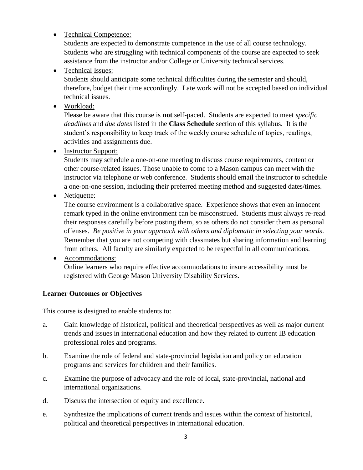# • Technical Competence:

Students are expected to demonstrate competence in the use of all course technology. Students who are struggling with technical components of the course are expected to seek assistance from the instructor and/or College or University technical services.

# • Technical Issues:

Students should anticipate some technical difficulties during the semester and should, therefore, budget their time accordingly. Late work will not be accepted based on individual technical issues.

• Workload:

Please be aware that this course is **not** self-paced. Students are expected to meet *specific deadlines* and *due dates* listed in the **Class Schedule** section of this syllabus. It is the student's responsibility to keep track of the weekly course schedule of topics, readings, activities and assignments due.

# • Instructor Support:

Students may schedule a one-on-one meeting to discuss course requirements, content or other course-related issues. Those unable to come to a Mason campus can meet with the instructor via telephone or web conference. Students should email the instructor to schedule a one-on-one session, including their preferred meeting method and suggested dates/times.

• Netiquette:

The course environment is a collaborative space. Experience shows that even an innocent remark typed in the online environment can be misconstrued. Students must always re-read their responses carefully before posting them, so as others do not consider them as personal offenses. *Be positive in your approach with others and diplomatic in selecting your words*. Remember that you are not competing with classmates but sharing information and learning from others. All faculty are similarly expected to be respectful in all communications.

## Accommodations:

Online learners who require effective accommodations to insure accessibility must be registered with George Mason University Disability Services.

## **Learner Outcomes or Objectives**

This course is designed to enable students to:

- a. Gain knowledge of historical, political and theoretical perspectives as well as major current trends and issues in international education and how they related to current IB education professional roles and programs.
- b. Examine the role of federal and state-provincial legislation and policy on education programs and services for children and their families.
- c. Examine the purpose of advocacy and the role of local, state-provincial, national and international organizations.
- d. Discuss the intersection of equity and excellence.
- e. Synthesize the implications of current trends and issues within the context of historical, political and theoretical perspectives in international education.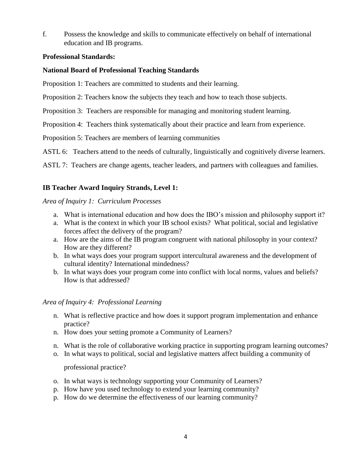f. Possess the knowledge and skills to communicate effectively on behalf of international education and IB programs.

### **Professional Standards:**

## **National Board of Professional Teaching Standards**

Proposition 1: Teachers are committed to students and their learning.

Proposition 2: Teachers know the subjects they teach and how to teach those subjects.

Proposition 3: Teachers are responsible for managing and monitoring student learning.

Proposition 4: Teachers think systematically about their practice and learn from experience.

Proposition 5: Teachers are members of learning communities

ASTL 6: Teachers attend to the needs of culturally, linguistically and cognitively diverse learners.

ASTL 7: Teachers are change agents, teacher leaders, and partners with colleagues and families.

# **IB Teacher Award Inquiry Strands, Level 1:**

### *Area of Inquiry 1: Curriculum Processes*

- a. What is international education and how does the IBO's mission and philosophy support it?
- a. What is the context in which your IB school exists? What political, social and legislative forces affect the delivery of the program?
- a. How are the aims of the IB program congruent with national philosophy in your context? How are they different?
- b. In what ways does your program support intercultural awareness and the development of cultural identity? International mindedness?
- b. In what ways does your program come into conflict with local norms, values and beliefs? How is that addressed?

## *Area of Inquiry 4: Professional Learning*

- n. What is reflective practice and how does it support program implementation and enhance practice?
- n. How does your setting promote a Community of Learners?
- n. What is the role of collaborative working practice in supporting program learning outcomes?
- o. In what ways to political, social and legislative matters affect building a community of

professional practice?

- o. In what ways is technology supporting your Community of Learners?
- p. How have you used technology to extend your learning community?
- p. How do we determine the effectiveness of our learning community?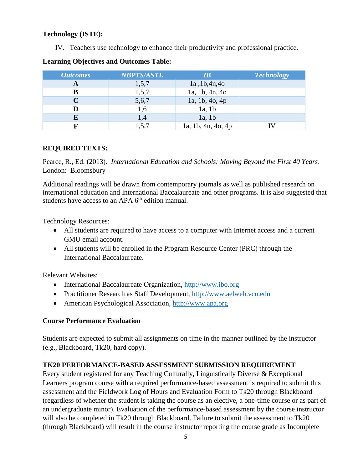## **Technology (ISTE):**

IV. Teachers use technology to enhance their productivity and professional practice.

| <b>Outcomes</b> | <b>NBPTS/ASTL</b> | IB                 | <b>Technology</b> |
|-----------------|-------------------|--------------------|-------------------|
| A               | 1,5,7             | 1a, 1b, 4n, 4o     |                   |
| в               | 1,5,7             | 1a, 1b, 4n, 4o     |                   |
|                 | 5,6,7             | 1a, 1b, 4o, 4p     |                   |
|                 | 1,6               | 1a, 1b             |                   |
| E               | 1,4               | $1a$ , $1b$        |                   |
|                 | 1,5,7             | 1a, 1b, 4n, 4o, 4p |                   |

### **Learning Objectives and Outcomes Table:**

## **REQUIRED TEXTS:**

Pearce, R., Ed. (2013). *International Education and Schools: Moving Beyond the First 40 Years*. London: Bloomsbury

Additional readings will be drawn from contemporary journals as well as published research on international education and International Baccalaureate and other programs. It is also suggested that students have access to an APA  $6<sup>th</sup>$  edition manual.

Technology Resources:

- All students are required to have access to a computer with Internet access and a current GMU email account.
- All students will be enrolled in the Program Resource Center (PRC) through the International Baccalaureate.

Relevant Websites:

- International Baccalaureate Organization, [http://www.ibo.org](http://www.ibo.org/)
- Practitioner Research as Staff Development, [http://www.aelweb.vcu.edu](http://www.aelweb.vcu.edu/)
- American Psychological Association, [http://www.apa.org](http://www.apa.org/)

## **Course Performance Evaluation**

Students are expected to submit all assignments on time in the manner outlined by the instructor (e.g., Blackboard, Tk20, hard copy).

## **TK20 PERFORMANCE-BASED ASSESSMENT SUBMISSION REQUIREMENT**

Every student registered for any Teaching Culturally, Linguistically Diverse & Exceptional Learners program course with a required performance-based assessment is required to submit this assessment and the Fieldwork Log of Hours and Evaluation Form to Tk20 through Blackboard (regardless of whether the student is taking the course as an elective, a one-time course or as part of an undergraduate minor). Evaluation of the performance-based assessment by the course instructor will also be completed in Tk20 through Blackboard. Failure to submit the assessment to Tk20 (through Blackboard) will result in the course instructor reporting the course grade as Incomplete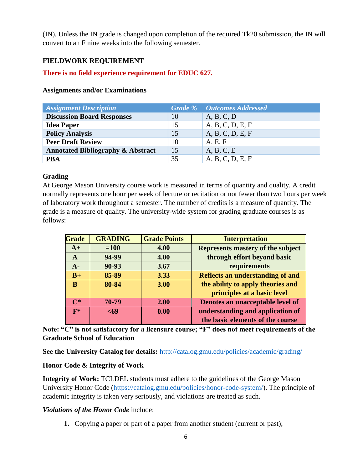(IN). Unless the IN grade is changed upon completion of the required Tk20 submission, the IN will convert to an F nine weeks into the following semester.

# **FIELDWORK REQUIREMENT**

## **There is no field experience requirement for EDUC 627.**

### **Assignments and/or Examinations**

| <b>Assignment Description</b>                |    | <b>Grade %</b> Outcomes Addressed |
|----------------------------------------------|----|-----------------------------------|
| <b>Discussion Board Responses</b>            | 10 | A, B, C, D                        |
| <b>Idea Paper</b>                            | 15 | A, B, C, D, E, F                  |
| <b>Policy Analysis</b>                       | 15 | A, B, C, D, E, F                  |
| <b>Peer Draft Review</b>                     | 10 | A, E, F                           |
| <b>Annotated Bibliography &amp; Abstract</b> | 15 | A, B, C, E                        |
| <b>PBA</b>                                   | 35 | A, B, C, D, E, F                  |

### **Grading**

At George Mason University course work is measured in terms of quantity and quality. A credit normally represents one hour per week of lecture or recitation or not fewer than two hours per week of laboratory work throughout a semester. The number of credits is a measure of quantity. The grade is a measure of quality. The university-wide system for grading graduate courses is as follows:

| <b>Grade</b>   | <b>GRADING</b> | <b>Grade Points</b> | <b>Interpretation</b>                   |
|----------------|----------------|---------------------|-----------------------------------------|
| $A+$           | $=100$         | 4.00                | Represents mastery of the subject       |
| A              | 94-99          | 4.00                | through effort beyond basic             |
| $A-$           | 90-93          | 3.67                | requirements                            |
| $B+$           | 85-89          | 3.33                | <b>Reflects an understanding of and</b> |
| B              | 80-84          | 3.00                | the ability to apply theories and       |
|                |                |                     | principles at a basic level             |
| $\mathbf{C}^*$ | 70-79          | 2.00                | Denotes an unacceptable level of        |
| $F*$           | $69$           | 0.00                | understanding and application of        |
|                |                |                     | the basic elements of the course        |

**Note: "C" is not satisfactory for a licensure course; "F" does not meet requirements of the Graduate School of Education**

**See the University Catalog for details:** <http://catalog.gmu.edu/policies/academic/grading/>

## **Honor Code & Integrity of Work**

**Integrity of Work:** TCLDEL students must adhere to the guidelines of the George Mason University Honor Code [\(https://catalog.gmu.edu/policies/honor-code-system/\)](https://catalog.gmu.edu/policies/honor-code-system/). The principle of academic integrity is taken very seriously, and violations are treated as such.

## *Violations of the Honor Code* include:

**1.** Copying a paper or part of a paper from another student (current or past);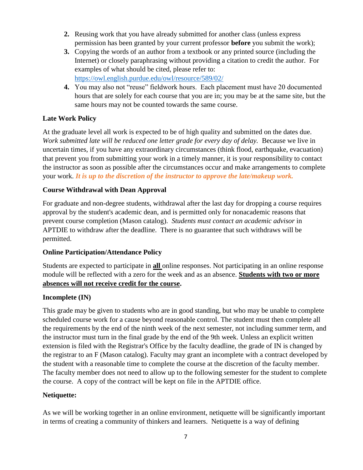- **2.** Reusing work that you have already submitted for another class (unless express permission has been granted by your current professor **before** you submit the work);
- **3.** Copying the words of an author from a textbook or any printed source (including the Internet) or closely paraphrasing without providing a citation to credit the author. For examples of what should be cited, please refer to: <https://owl.english.purdue.edu/owl/resource/589/02/>
- **4.** You may also not "reuse" fieldwork hours. Each placement must have 20 documented hours that are solely for each course that you are in; you may be at the same site, but the same hours may not be counted towards the same course.

# **Late Work Policy**

At the graduate level all work is expected to be of high quality and submitted on the dates due. *Work submitted late will be reduced one letter grade for every day of delay.*Because we live in uncertain times, if you have any extraordinary circumstances (think flood, earthquake, evacuation) that prevent you from submitting your work in a timely manner, it is your responsibility to contact the instructor as soon as possible after the circumstances occur and make arrangements to complete your work. *It is up to the discretion of the instructor to approve the late/makeup work.*

# **Course Withdrawal with Dean Approval**

For graduate and non-degree students, withdrawal after the last day for dropping a course requires approval by the student's academic dean, and is permitted only for nonacademic reasons that prevent course completion (Mason catalog). *Students must contact an academic advisor* in APTDIE to withdraw after the deadline. There is no guarantee that such withdraws will be permitted.

## **Online Participation/Attendance Policy**

Students are expected to participate in **all** online responses. Not participating in an online response module will be reflected with a zero for the week and as an absence. **Students with two or more absences will not receive credit for the course.**

## **Incomplete (IN)**

This grade may be given to students who are in good standing, but who may be unable to complete scheduled course work for a cause beyond reasonable control. The student must then complete all the requirements by the end of the ninth week of the next semester, not including summer term, and the instructor must turn in the final grade by the end of the 9th week. Unless an explicit written extension is filed with the Registrar's Office by the faculty deadline, the grade of IN is changed by the registrar to an F (Mason catalog). Faculty may grant an incomplete with a contract developed by the student with a reasonable time to complete the course at the discretion of the faculty member. The faculty member does not need to allow up to the following semester for the student to complete the course. A copy of the contract will be kept on file in the APTDIE office.

## **Netiquette:**

As we will be working together in an online environment, netiquette will be significantly important in terms of creating a community of thinkers and learners. Netiquette is a way of defining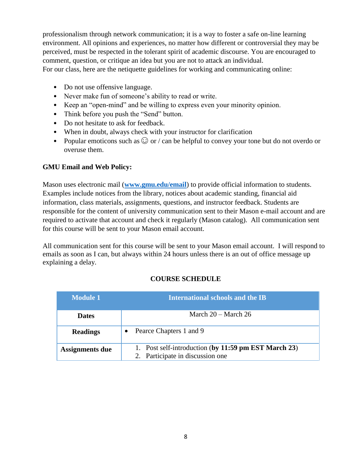professionalism through network communication; it is a way to foster a safe on-line learning environment. All opinions and experiences, no matter how different or controversial they may be perceived, must be respected in the tolerant spirit of academic discourse. You are encouraged to comment, question, or critique an idea but you are not to attack an individual. For our class, here are the netiquette guidelines for working and communicating online:

- Do not use offensive language.
- Never make fun of someone's ability to read or write.
- Keep an "open-mind" and be willing to express even your minority opinion.
- Think before you push the "Send" button.
- Do not hesitate to ask for feedback.
- When in doubt, always check with your instructor for clarification
- Popular emoticons such as  $\odot$  or / can be helpful to convey your tone but do not overdo or overuse them.

## **GMU Email and Web Policy:**

Mason uses electronic mail (**[www.gmu.edu/email](http://www.gmu.edu/email)**) to provide official information to students. Examples include notices from the library, notices about academic standing, financial aid information, class materials, assignments, questions, and instructor feedback. Students are responsible for the content of university communication sent to their Mason e-mail account and are required to activate that account and check it regularly (Mason catalog). All communication sent for this course will be sent to your Mason email account.

All communication sent for this course will be sent to your Mason email account. I will respond to emails as soon as I can, but always within 24 hours unless there is an out of office message up explaining a delay.

## **COURSE SCHEDULE**

| <b>Module 1</b> | International schools and the IB                                                         |
|-----------------|------------------------------------------------------------------------------------------|
| <b>Dates</b>    | March $20 - \text{March } 26$                                                            |
| <b>Readings</b> | Pearce Chapters 1 and 9                                                                  |
| Assignments due | 1. Post self-introduction (by 11:59 pm EST March 23)<br>2. Participate in discussion one |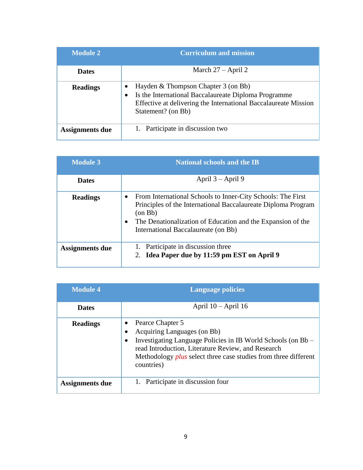| <b>Module 2</b> | <b>Curriculum and mission</b>                                                                                                                                                             |
|-----------------|-------------------------------------------------------------------------------------------------------------------------------------------------------------------------------------------|
| <b>Dates</b>    | March $27 -$ April 2                                                                                                                                                                      |
| <b>Readings</b> | Hayden & Thompson Chapter 3 (on Bb)<br>Is the International Baccalaureate Diploma Programme<br>٠<br>Effective at delivering the International Baccalaureate Mission<br>Statement? (on Bb) |
| Assignments due | Participate in discussion two                                                                                                                                                             |

| <b>Module 3</b>        | <b>National schools and the IB</b>                                                                                                                                                                                                                         |
|------------------------|------------------------------------------------------------------------------------------------------------------------------------------------------------------------------------------------------------------------------------------------------------|
| <b>Dates</b>           | April $3 -$ April 9                                                                                                                                                                                                                                        |
| <b>Readings</b>        | From International Schools to Inner-City Schools: The First<br>$\bullet$<br>Principles of the International Baccalaureate Diploma Program<br>(on Bb)<br>The Denationalization of Education and the Expansion of the<br>International Baccalaureate (on Bb) |
| <b>Assignments due</b> | Participate in discussion three<br>Idea Paper due by 11:59 pm EST on April 9<br>2.                                                                                                                                                                         |

| <b>Module 4</b>        | <b>Language policies</b>                                                                                                                                                                                                                                      |  |
|------------------------|---------------------------------------------------------------------------------------------------------------------------------------------------------------------------------------------------------------------------------------------------------------|--|
| <b>Dates</b>           | April $10 -$ April 16                                                                                                                                                                                                                                         |  |
| <b>Readings</b>        | Pearce Chapter 5<br>Acquiring Languages (on Bb)<br>Investigating Language Policies in IB World Schools (on Bb -<br>read Introduction, Literature Review, and Research<br>Methodology <i>plus</i> select three case studies from three different<br>countries) |  |
| <b>Assignments due</b> | Participate in discussion four                                                                                                                                                                                                                                |  |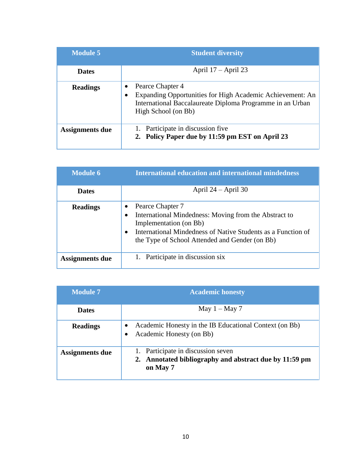| <b>Module 5</b>        | <b>Student diversity</b>                                                                                                                                          |
|------------------------|-------------------------------------------------------------------------------------------------------------------------------------------------------------------|
| <b>Dates</b>           | April $17 -$ April 23                                                                                                                                             |
| <b>Readings</b>        | Pearce Chapter 4<br>Expanding Opportunities for High Academic Achievement: An<br>International Baccalaureate Diploma Programme in an Urban<br>High School (on Bb) |
| <b>Assignments due</b> | Participate in discussion five<br>2. Policy Paper due by 11:59 pm EST on April 23                                                                                 |

| <b>Module 6</b> | <b>International education and international mindedness</b>                                                                                                                                                                                          |
|-----------------|------------------------------------------------------------------------------------------------------------------------------------------------------------------------------------------------------------------------------------------------------|
| <b>Dates</b>    | April $24 -$ April 30                                                                                                                                                                                                                                |
| <b>Readings</b> | Pearce Chapter 7<br>٠<br>International Mindedness: Moving from the Abstract to<br>$\bullet$<br>Implementation (on Bb)<br>International Mindedness of Native Students as a Function of<br>$\bullet$<br>the Type of School Attended and Gender (on Bb) |
| Assignments due | Participate in discussion six                                                                                                                                                                                                                        |

| <b>Module 7</b> | <b>Academic honesty</b>                                                                                  |
|-----------------|----------------------------------------------------------------------------------------------------------|
| <b>Dates</b>    | May $1 -$ May 7                                                                                          |
| <b>Readings</b> | Academic Honesty in the IB Educational Context (on Bb)<br>Academic Honesty (on Bb)<br>٠                  |
| Assignments due | 1. Participate in discussion seven<br>2. Annotated bibliography and abstract due by 11:59 pm<br>on May 7 |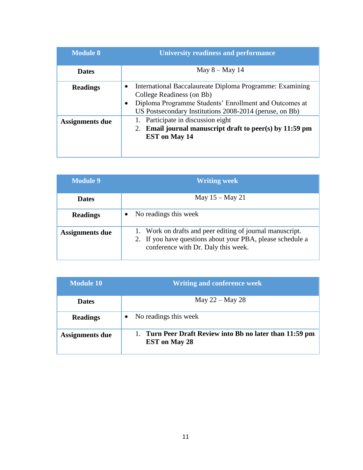| <b>Module 8</b>        | <b>University readiness and performance</b>                                                                                                                                                                                          |
|------------------------|--------------------------------------------------------------------------------------------------------------------------------------------------------------------------------------------------------------------------------------|
| <b>Dates</b>           | May $8 -$ May 14                                                                                                                                                                                                                     |
| <b>Readings</b>        | International Baccalaureate Diploma Programme: Examining<br>$\bullet$<br>College Readiness (on Bb)<br>Diploma Programme Students' Enrollment and Outcomes at<br>$\bullet$<br>US Postsecondary Institutions 2008-2014 (peruse, on Bb) |
| <b>Assignments due</b> | Participate in discussion eight<br>2. Email journal manuscript draft to peer(s) by $11:59$ pm<br><b>EST</b> on May 14                                                                                                                |

| <b>Module 9</b> | <b>Writing week</b>                                                                                                                                            |
|-----------------|----------------------------------------------------------------------------------------------------------------------------------------------------------------|
| <b>Dates</b>    | May $15 -$ May 21                                                                                                                                              |
| <b>Readings</b> | No readings this week                                                                                                                                          |
| Assignments due | 1. Work on drafts and peer editing of journal manuscript.<br>2. If you have questions about your PBA, please schedule a<br>conference with Dr. Daly this week. |

| <b>Module 10</b>       | <b>Writing and conference week</b>                                            |  |  |  |
|------------------------|-------------------------------------------------------------------------------|--|--|--|
| <b>Dates</b>           | May $22 -$ May 28                                                             |  |  |  |
| <b>Readings</b>        | No readings this week                                                         |  |  |  |
| <b>Assignments due</b> | Turn Peer Draft Review into Bb no later than 11:59 pm<br><b>EST</b> on May 28 |  |  |  |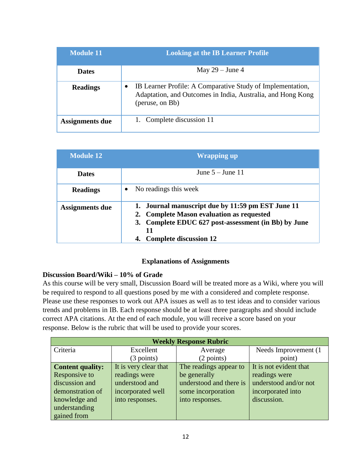| <b>Module 11</b>       | <b>Looking at the IB Learner Profile</b>                                                                                                                  |
|------------------------|-----------------------------------------------------------------------------------------------------------------------------------------------------------|
| <b>Dates</b>           | May $29$ – June 4                                                                                                                                         |
| <b>Readings</b>        | IB Learner Profile: A Comparative Study of Implementation,<br>$\bullet$<br>Adaptation, and Outcomes in India, Australia, and Hong Kong<br>(peruse, on Bb) |
| <b>Assignments due</b> | Complete discussion 11                                                                                                                                    |

| <b>Module 12</b> | <b>Wrapping up</b>                                                                                                                                                                            |  |  |  |
|------------------|-----------------------------------------------------------------------------------------------------------------------------------------------------------------------------------------------|--|--|--|
| <b>Dates</b>     | June $5 -$ June 11                                                                                                                                                                            |  |  |  |
| <b>Readings</b>  | No readings this week                                                                                                                                                                         |  |  |  |
| Assignments due  | 1. Journal manuscript due by 11:59 pm EST June 11<br>2. Complete Mason evaluation as requested<br>3. Complete EDUC 627 post-assessment (in Bb) by June<br>11<br><b>Complete discussion 12</b> |  |  |  |

### **Explanations of Assignments**

## **Discussion Board/Wiki – 10% of Grade**

As this course will be very small, Discussion Board will be treated more as a Wiki, where you will be required to respond to all questions posed by me with a considered and complete response. Please use these responses to work out APA issues as well as to test ideas and to consider various trends and problems in IB. Each response should be at least three paragraphs and should include correct APA citations. At the end of each module, you will receive a score based on your response. Below is the rubric that will be used to provide your scores.

| <b>Weekly Response Rubric</b> |                       |                         |                        |  |  |
|-------------------------------|-----------------------|-------------------------|------------------------|--|--|
| Criteria                      | Excellent             | Average                 | Needs Improvement (1)  |  |  |
|                               | $(3$ points)          | $(2 \text{ points})$    | point)                 |  |  |
| <b>Content quality:</b>       | It is very clear that | The readings appear to  | It is not evident that |  |  |
| Responsive to                 | readings were         | be generally            | readings were          |  |  |
| discussion and                | understood and        | understood and there is | understood and/or not  |  |  |
| demonstration of              | incorporated well     | some incorporation      | incorporated into      |  |  |
| knowledge and                 | into responses.       | into responses.         | discussion.            |  |  |
| understanding                 |                       |                         |                        |  |  |
| gained from                   |                       |                         |                        |  |  |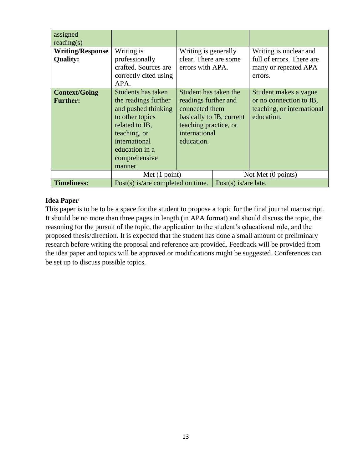| assigned<br>reading(s)                     |                                                                                                                                                                                       |                                                                                                                                                     |                         |                                                                                              |
|--------------------------------------------|---------------------------------------------------------------------------------------------------------------------------------------------------------------------------------------|-----------------------------------------------------------------------------------------------------------------------------------------------------|-------------------------|----------------------------------------------------------------------------------------------|
| <b>Writing/Response</b><br><b>Quality:</b> | Writing is<br>professionally                                                                                                                                                          | Writing is generally<br>clear. There are some                                                                                                       |                         | Writing is unclear and<br>full of errors. There are                                          |
|                                            | crafted. Sources are<br>correctly cited using<br>APA.                                                                                                                                 | errors with APA.                                                                                                                                    |                         | many or repeated APA<br>errors.                                                              |
| <b>Context/Going</b><br><b>Further:</b>    | Students has taken<br>the readings further<br>and pushed thinking<br>to other topics<br>related to IB,<br>teaching, or<br>international<br>education in a<br>comprehensive<br>manner. | Student has taken the<br>readings further and<br>connected them<br>basically to IB, current<br>teaching practice, or<br>international<br>education. |                         | Student makes a vague<br>or no connection to IB,<br>teaching, or international<br>education. |
|                                            | Met $(1 point)$                                                                                                                                                                       |                                                                                                                                                     | Not Met (0 points)      |                                                                                              |
| <b>Timeliness:</b>                         | Post $(s)$ is/are completed on time.                                                                                                                                                  |                                                                                                                                                     | Post $(s)$ is/are late. |                                                                                              |

## **Idea Paper**

This paper is to be to be a space for the student to propose a topic for the final journal manuscript. It should be no more than three pages in length (in APA format) and should discuss the topic, the reasoning for the pursuit of the topic, the application to the student's educational role, and the proposed thesis/direction. It is expected that the student has done a small amount of preliminary research before writing the proposal and reference are provided. Feedback will be provided from the idea paper and topics will be approved or modifications might be suggested. Conferences can be set up to discuss possible topics.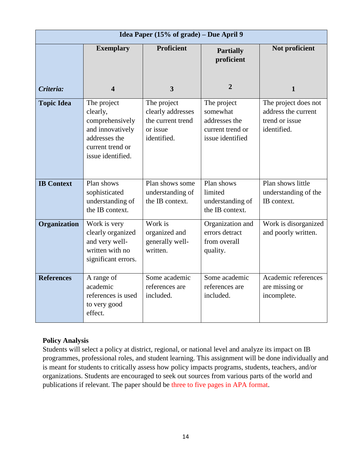| Idea Paper (15% of grade) – Due April 9 |                                                                                                                          |                                                                                  |                                                                                  |                                                                              |
|-----------------------------------------|--------------------------------------------------------------------------------------------------------------------------|----------------------------------------------------------------------------------|----------------------------------------------------------------------------------|------------------------------------------------------------------------------|
|                                         | <b>Exemplary</b>                                                                                                         | <b>Proficient</b>                                                                | <b>Partially</b><br>proficient                                                   | Not proficient                                                               |
| Criteria:                               | 4                                                                                                                        | $\overline{\mathbf{3}}$                                                          | $\overline{2}$                                                                   | $\mathbf{1}$                                                                 |
| <b>Topic Idea</b>                       | The project<br>clearly,<br>comprehensively<br>and innovatively<br>addresses the<br>current trend or<br>issue identified. | The project<br>clearly addresses<br>the current trend<br>or issue<br>identified. | The project<br>somewhat<br>addresses the<br>current trend or<br>issue identified | The project does not<br>address the current<br>trend or issue<br>identified. |
| <b>IB Context</b>                       | Plan shows<br>sophisticated<br>understanding of<br>the IB context.                                                       | Plan shows some<br>understanding of<br>the IB context.                           | Plan shows<br>limited<br>understanding of<br>the IB context.                     | Plan shows little<br>understanding of the<br>IB context.                     |
| Organization                            | Work is very<br>clearly organized<br>and very well-<br>written with no<br>significant errors.                            | Work is<br>organized and<br>generally well-<br>written.                          | Organization and<br>errors detract<br>from overall<br>quality.                   | Work is disorganized<br>and poorly written.                                  |
| <b>References</b>                       | A range of<br>academic<br>references is used<br>to very good<br>effect.                                                  | Some academic<br>references are<br>included.                                     | Some academic<br>references are<br>included.                                     | Academic references<br>are missing or<br>incomplete.                         |

## **Policy Analysis**

Students will select a policy at district, regional, or national level and analyze its impact on IB programmes, professional roles, and student learning. This assignment will be done individually and is meant for students to critically assess how policy impacts programs, students, teachers, and/or organizations. Students are encouraged to seek out sources from various parts of the world and publications if relevant. The paper should be three to five pages in APA format.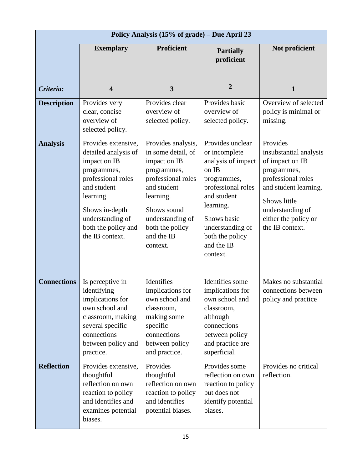|                    |                                                                                                                                                                                                              | Policy Analysis (15% of grade) – Due April 23                                                                                                                                                             |                                                                                                                                                                                                                   |                                                                                                                                                                                                    |
|--------------------|--------------------------------------------------------------------------------------------------------------------------------------------------------------------------------------------------------------|-----------------------------------------------------------------------------------------------------------------------------------------------------------------------------------------------------------|-------------------------------------------------------------------------------------------------------------------------------------------------------------------------------------------------------------------|----------------------------------------------------------------------------------------------------------------------------------------------------------------------------------------------------|
|                    | <b>Exemplary</b>                                                                                                                                                                                             | <b>Proficient</b>                                                                                                                                                                                         | <b>Partially</b><br>proficient                                                                                                                                                                                    | Not proficient                                                                                                                                                                                     |
| Criteria:          | $\overline{\mathbf{4}}$                                                                                                                                                                                      | $\mathbf{3}$                                                                                                                                                                                              | 2                                                                                                                                                                                                                 | 1                                                                                                                                                                                                  |
| <b>Description</b> | Provides very<br>clear, concise<br>overview of<br>selected policy.                                                                                                                                           | Provides clear<br>overview of<br>selected policy.                                                                                                                                                         | Provides basic<br>overview of<br>selected policy.                                                                                                                                                                 | Overview of selected<br>policy is minimal or<br>missing.                                                                                                                                           |
| <b>Analysis</b>    | Provides extensive,<br>detailed analysis of<br>impact on IB<br>programmes,<br>professional roles<br>and student<br>learning.<br>Shows in-depth<br>understanding of<br>both the policy and<br>the IB context. | Provides analysis,<br>in some detail, of<br>impact on IB<br>programmes,<br>professional roles<br>and student<br>learning.<br>Shows sound<br>understanding of<br>both the policy<br>and the IB<br>context. | Provides unclear<br>or incomplete<br>analysis of impact<br>on IB<br>programmes,<br>professional roles<br>and student<br>learning.<br>Shows basic<br>understanding of<br>both the policy<br>and the IB<br>context. | Provides<br>insubstantial analysis<br>of impact on IB<br>programmes,<br>professional roles<br>and student learning.<br>Shows little<br>understanding of<br>either the policy or<br>the IB context. |
| <b>Connections</b> | Is perceptive in<br>identifying<br>implications for<br>own school and<br>classroom, making<br>several specific<br>connections<br>between policy and<br>practice.                                             | Identifies<br>implications for<br>own school and<br>classroom,<br>making some<br>specific<br>connections<br>between policy<br>and practice.                                                               | Identifies some<br>implications for<br>own school and<br>classroom,<br>although<br>connections<br>between policy<br>and practice are<br>superficial.                                                              | Makes no substantial<br>connections between<br>policy and practice                                                                                                                                 |
| <b>Reflection</b>  | Provides extensive,<br>thoughtful<br>reflection on own<br>reaction to policy<br>and identifies and<br>examines potential<br>biases.                                                                          | Provides<br>thoughtful<br>reflection on own<br>reaction to policy<br>and identifies<br>potential biases.                                                                                                  | Provides some<br>reflection on own<br>reaction to policy<br>but does not<br>identify potential<br>biases.                                                                                                         | Provides no critical<br>reflection.                                                                                                                                                                |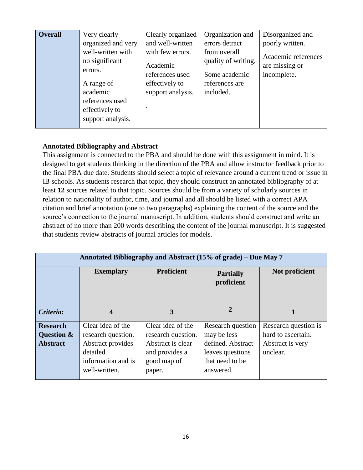| <b>Overall</b> | Very clearly<br>organized and very<br>well-written with<br>no significant<br>errors.<br>A range of<br>academic<br>references used<br>effectively to<br>support analysis. | Clearly organized<br>and well-written<br>with few errors.<br>Academic<br>references used<br>effectively to<br>support analysis. | Organization and<br>errors detract<br>from overall<br>quality of writing.<br>Some academic<br>references are<br>included. | Disorganized and<br>poorly written.<br>Academic references<br>are missing or<br>incomplete. |
|----------------|--------------------------------------------------------------------------------------------------------------------------------------------------------------------------|---------------------------------------------------------------------------------------------------------------------------------|---------------------------------------------------------------------------------------------------------------------------|---------------------------------------------------------------------------------------------|
|----------------|--------------------------------------------------------------------------------------------------------------------------------------------------------------------------|---------------------------------------------------------------------------------------------------------------------------------|---------------------------------------------------------------------------------------------------------------------------|---------------------------------------------------------------------------------------------|

## **Annotated Bibliography and Abstract**

This assignment is connected to the PBA and should be done with this assignment in mind. It is designed to get students thinking in the direction of the PBA and allow instructor feedback prior to the final PBA due date. Students should select a topic of relevance around a current trend or issue in IB schools. As students research that topic, they should construct an annotated bibliography of at least **12** sources related to that topic. Sources should be from a variety of scholarly sources in relation to nationality of author, time, and journal and all should be listed with a correct APA citation and brief annotation (one to two paragraphs) explaining the content of the source and the source's connection to the journal manuscript. In addition, students should construct and write an abstract of no more than 200 words describing the content of the journal manuscript. It is suggested that students review abstracts of journal articles for models.

| Annotated Bibliography and Abstract (15% of grade) – Due May 7 |                                                                                                                 |                                                                                                         |                                                                                                           |                                                                            |
|----------------------------------------------------------------|-----------------------------------------------------------------------------------------------------------------|---------------------------------------------------------------------------------------------------------|-----------------------------------------------------------------------------------------------------------|----------------------------------------------------------------------------|
|                                                                | <b>Exemplary</b>                                                                                                | <b>Proficient</b>                                                                                       | <b>Partially</b><br>proficient                                                                            | Not proficient                                                             |
| Criteria:                                                      | 4                                                                                                               | 3                                                                                                       | 2                                                                                                         |                                                                            |
| <b>Research</b><br>Question &<br><b>Abstract</b>               | Clear idea of the<br>research question.<br>Abstract provides<br>detailed<br>information and is<br>well-written. | Clear idea of the<br>research question.<br>Abstract is clear<br>and provides a<br>good map of<br>paper. | Research question<br>may be less<br>defined. Abstract<br>leaves questions<br>that need to be<br>answered. | Research question is<br>hard to ascertain.<br>Abstract is very<br>unclear. |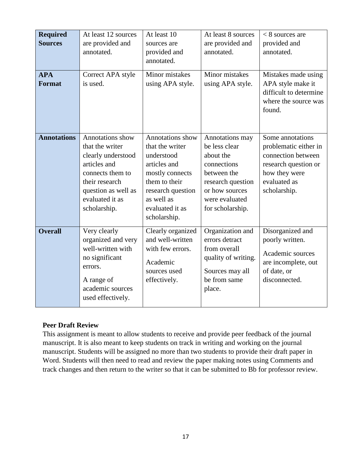| <b>Required</b><br><b>Sources</b><br><b>APA</b><br><b>Format</b> | At least 12 sources<br>are provided and<br>annotated.<br>Correct APA style<br>is used.                                                                                    | At least 10<br>sources are<br>provided and<br>annotated.<br>Minor mistakes<br>using APA style.                                                                              | At least 8 sources<br>are provided and<br>annotated.<br>Minor mistakes<br>using APA style.                                                               | $<$ 8 sources are<br>provided and<br>annotated.<br>Mistakes made using<br>APA style make it<br>difficult to determine<br>where the source was<br>found. |
|------------------------------------------------------------------|---------------------------------------------------------------------------------------------------------------------------------------------------------------------------|-----------------------------------------------------------------------------------------------------------------------------------------------------------------------------|----------------------------------------------------------------------------------------------------------------------------------------------------------|---------------------------------------------------------------------------------------------------------------------------------------------------------|
| <b>Annotations</b>                                               | Annotations show<br>that the writer<br>clearly understood<br>articles and<br>connects them to<br>their research<br>question as well as<br>evaluated it as<br>scholarship. | Annotations show<br>that the writer<br>understood<br>articles and<br>mostly connects<br>them to their<br>research question<br>as well as<br>evaluated it as<br>scholarship. | Annotations may<br>be less clear<br>about the<br>connections<br>between the<br>research question<br>or how sources<br>were evaluated<br>for scholarship. | Some annotations<br>problematic either in<br>connection between<br>research question or<br>how they were<br>evaluated as<br>scholarship.                |
| <b>Overall</b>                                                   | Very clearly<br>organized and very<br>well-written with<br>no significant<br>errors.<br>A range of<br>academic sources<br>used effectively.                               | Clearly organized<br>and well-written<br>with few errors.<br>Academic<br>sources used<br>effectively.                                                                       | Organization and<br>errors detract<br>from overall<br>quality of writing.<br>Sources may all<br>be from same<br>place.                                   | Disorganized and<br>poorly written.<br>Academic sources<br>are incomplete, out<br>of date, or<br>disconnected.                                          |

#### **Peer Draft Review**

This assignment is meant to allow students to receive and provide peer feedback of the journal manuscript. It is also meant to keep students on track in writing and working on the journal manuscript. Students will be assigned no more than two students to provide their draft paper in Word. Students will then need to read and review the paper making notes using Comments and track changes and then return to the writer so that it can be submitted to Bb for professor review.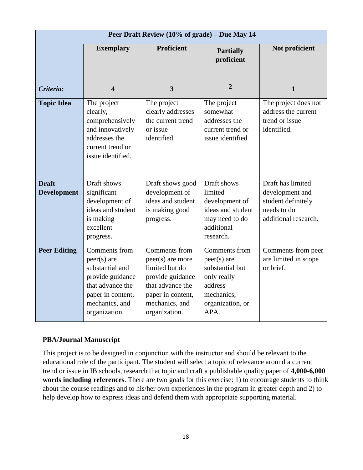|                                    | Peer Draft Review (10% of grade) - Due May 14                                                                                                     |                                                                                                                                                     |                                                                                                                       |                                                                                                   |  |
|------------------------------------|---------------------------------------------------------------------------------------------------------------------------------------------------|-----------------------------------------------------------------------------------------------------------------------------------------------------|-----------------------------------------------------------------------------------------------------------------------|---------------------------------------------------------------------------------------------------|--|
|                                    | <b>Exemplary</b>                                                                                                                                  | <b>Proficient</b>                                                                                                                                   | <b>Partially</b><br>proficient                                                                                        | Not proficient                                                                                    |  |
| Criteria:                          | $\overline{\mathbf{4}}$                                                                                                                           | $\overline{\mathbf{3}}$                                                                                                                             | $\overline{2}$                                                                                                        | 1                                                                                                 |  |
| <b>Topic Idea</b>                  | The project<br>clearly,<br>comprehensively<br>and innovatively<br>addresses the<br>current trend or<br>issue identified.                          | The project<br>clearly addresses<br>the current trend<br>or issue<br>identified.                                                                    | The project<br>somewhat<br>addresses the<br>current trend or<br>issue identified                                      | The project does not<br>address the current<br>trend or issue<br>identified.                      |  |
| <b>Draft</b><br><b>Development</b> | Draft shows<br>significant<br>development of<br>ideas and student<br>is making<br>excellent<br>progress.                                          | Draft shows good<br>development of<br>ideas and student<br>is making good<br>progress.                                                              | Draft shows<br>limited<br>development of<br>ideas and student<br>may need to do<br>additional<br>research.            | Draft has limited<br>development and<br>student definitely<br>needs to do<br>additional research. |  |
| <b>Peer Editing</b>                | Comments from<br>$peer(s)$ are<br>substantial and<br>provide guidance<br>that advance the<br>paper in content,<br>mechanics, and<br>organization. | Comments from<br>peer(s) are more<br>limited but do<br>provide guidance<br>that advance the<br>paper in content,<br>mechanics, and<br>organization. | Comments from<br>$peer(s)$ are<br>substantial but<br>only really<br>address<br>mechanics,<br>organization, or<br>APA. | Comments from peer<br>are limited in scope<br>or brief.                                           |  |

## **PBA/Journal Manuscript**

This project is to be designed in conjunction with the instructor and should be relevant to the educational role of the participant. The student will select a topic of relevance around a current trend or issue in IB schools, research that topic and craft a publishable quality paper of **4,000-6,000 words including references**. There are two goals for this exercise: 1) to encourage students to think about the course readings and to his/her own experiences in the program in greater depth and 2) to help develop how to express ideas and defend them with appropriate supporting material.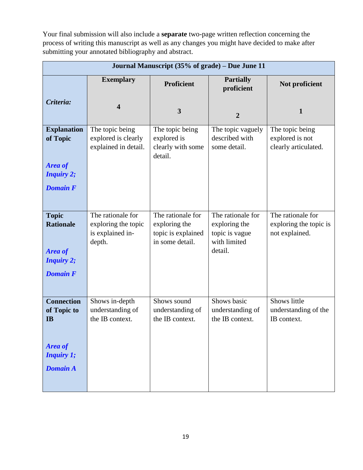Your final submission will also include a **separate** two-page written reflection concerning the process of writing this manuscript as well as any changes you might have decided to make after submitting your annotated bibliography and abstract.

|                                                                                                  |                                                                        | Journal Manuscript (35% of grade) - Due June 11                             |                                                                                 |                                                               |
|--------------------------------------------------------------------------------------------------|------------------------------------------------------------------------|-----------------------------------------------------------------------------|---------------------------------------------------------------------------------|---------------------------------------------------------------|
|                                                                                                  | <b>Exemplary</b>                                                       | <b>Proficient</b>                                                           | <b>Partially</b><br>proficient                                                  | Not proficient                                                |
| Criteria:                                                                                        | $\overline{\mathbf{4}}$                                                | 3                                                                           | $\overline{2}$                                                                  | 1                                                             |
| <b>Explanation</b><br>of Topic<br><b>Area of</b><br><b>Inquiry 2;</b><br><b>Domain F</b>         | The topic being<br>explored is clearly<br>explained in detail.         | The topic being<br>explored is<br>clearly with some<br>detail.              | The topic vaguely<br>described with<br>some detail.                             | The topic being<br>explored is not<br>clearly articulated.    |
| <b>Topic</b><br><b>Rationale</b><br>Area of<br><b>Inquiry 2;</b><br><b>Domain F</b>              | The rationale for<br>exploring the topic<br>is explained in-<br>depth. | The rationale for<br>exploring the<br>topic is explained<br>in some detail. | The rationale for<br>exploring the<br>topic is vague<br>with limited<br>detail. | The rationale for<br>exploring the topic is<br>not explained. |
| <b>Connection</b><br>of Topic to<br><b>IB</b><br>Area of<br><b>Inquiry 1;</b><br><b>Domain A</b> | Shows in-depth<br>understanding of<br>the IB context.                  | Shows sound<br>understanding of<br>the IB context.                          | Shows basic<br>understanding of<br>the IB context.                              | Shows little<br>understanding of the<br>IB context.           |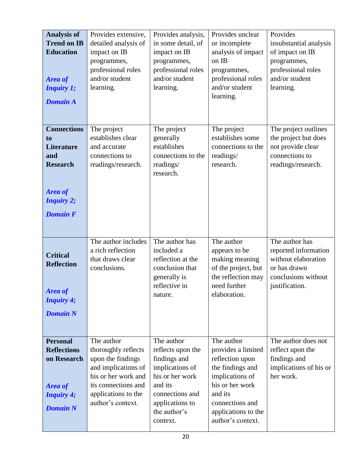| <b>Analysis of</b><br><b>Trend on IB</b><br><b>Education</b><br><b>Area of</b><br><b>Inquiry 1;</b><br><b>Domain A</b>                        | Provides extensive,<br>detailed analysis of<br>impact on IB<br>programmes,<br>professional roles<br>and/or student<br>learning.                                         | Provides analysis,<br>in some detail, of<br>impact on IB<br>programmes,<br>professional roles<br>and/or student<br>learning.                                       | Provides unclear<br>or incomplete<br>analysis of impact<br>on IB<br>programmes,<br>professional roles<br>and/or student<br>learning.                                                    | Provides<br>insubstantial analysis<br>of impact on IB<br>programmes,<br>professional roles<br>and/or student<br>learning. |
|-----------------------------------------------------------------------------------------------------------------------------------------------|-------------------------------------------------------------------------------------------------------------------------------------------------------------------------|--------------------------------------------------------------------------------------------------------------------------------------------------------------------|-----------------------------------------------------------------------------------------------------------------------------------------------------------------------------------------|---------------------------------------------------------------------------------------------------------------------------|
| <b>Connections</b><br>t <sub>o</sub><br><b>Literature</b><br>and<br><b>Research</b><br><b>Area of</b><br><b>Inquiry 2;</b><br><b>Domain F</b> | The project<br>establishes clear<br>and accurate<br>connections to<br>readings/research.                                                                                | The project<br>generally<br>establishes<br>connections to the<br>readings/<br>research.                                                                            | The project<br>establishes some<br>connections to the<br>readings/<br>research.                                                                                                         | The project outlines<br>the project but does<br>not provide clear<br>connections to<br>readings/research.                 |
| <b>Critical</b><br><b>Reflection</b><br><b>Area</b> of<br><b>Inquiry 4;</b><br><b>Domain N</b>                                                | The author includes<br>a rich reflection<br>that draws clear<br>conclusions.                                                                                            | The author has<br>included a<br>reflection at the<br>conclusion that<br>generally is<br>reflective in<br>nature.                                                   | The author<br>appears to be<br>making meaning<br>of the project, but<br>the reflection may<br>need further<br>elaboration.                                                              | The author has<br>reported information<br>without elaboration<br>or has drawn<br>conclusions without<br>justification.    |
| <b>Personal</b><br><b>Reflections</b><br>on Research<br><b>Area of</b><br><b>Inquiry 4;</b><br><b>Domain N</b>                                | The author<br>thoroughly reflects<br>upon the findings<br>and implications of<br>his or her work and<br>its connections and<br>applications to the<br>author's context. | The author<br>reflects upon the<br>findings and<br>implications of<br>his or her work<br>and its<br>connections and<br>applications to<br>the author's<br>context. | The author<br>provides a limited<br>reflection upon<br>the findings and<br>implications of<br>his or her work<br>and its<br>connections and<br>applications to the<br>author's context. | The author does not<br>reflect upon the<br>findings and<br>implications of his or<br>her work.                            |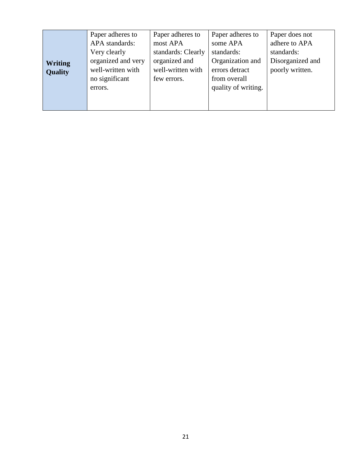| <b>Writing</b><br><b>Quality</b> | Paper adheres to<br>APA standards:<br>Very clearly<br>organized and very<br>well-written with<br>no significant<br>errors. | Paper adheres to<br>most APA<br>standards: Clearly<br>organized and<br>well-written with<br>few errors. | Paper adheres to<br>some APA<br>standards:<br>Organization and<br>errors detract<br>from overall<br>quality of writing. | Paper does not<br>adhere to APA<br>standards:<br>Disorganized and<br>poorly written. |
|----------------------------------|----------------------------------------------------------------------------------------------------------------------------|---------------------------------------------------------------------------------------------------------|-------------------------------------------------------------------------------------------------------------------------|--------------------------------------------------------------------------------------|
|----------------------------------|----------------------------------------------------------------------------------------------------------------------------|---------------------------------------------------------------------------------------------------------|-------------------------------------------------------------------------------------------------------------------------|--------------------------------------------------------------------------------------|